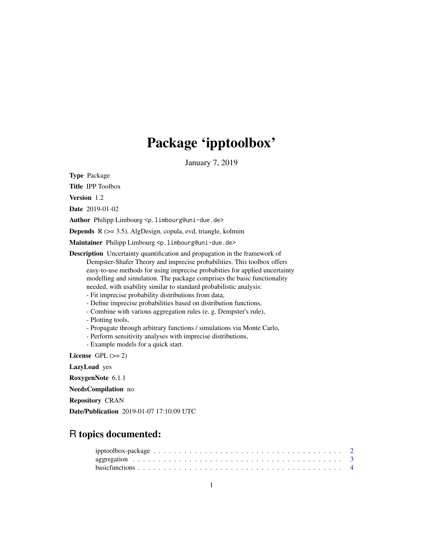# Package 'ipptoolbox'

January 7, 2019

Type Package

Title IPP Toolbox

Version 1.2

Date 2019-01-02

Author Philipp Limbourg <p.limbourg@uni-due.de>

Depends R (>= 3.5), AlgDesign, copula, evd, triangle, kolmim

Maintainer Philipp Limbourg <p.limbourg@uni-due.de>

Description Uncertainty quantification and propagation in the framework of Dempster-Shafer Theory and imprecise probabilities. This toolbox offers easy-to-use methods for using imprecise probabities for applied uncertainty modelling and simulation. The package comprises the basic functionality needed, with usability similar to standard probabilistic analysis:

- Fit imprecise probability distributions from data,

- Define imprecise probabilities based on distribution functions,
- Combine with various aggregation rules (e. g. Dempster's rule),
- Plotting tools,
- Propagate through arbitrary functions / simulations via Monte Carlo,
- Perform sensitivity analyses with imprecise distributions,
- Example models for a quick start.

License GPL  $(>= 2)$ 

LazyLoad yes

RoxygenNote 6.1.1

NeedsCompilation no

Repository CRAN

Date/Publication 2019-01-07 17:10:09 UTC

# R topics documented: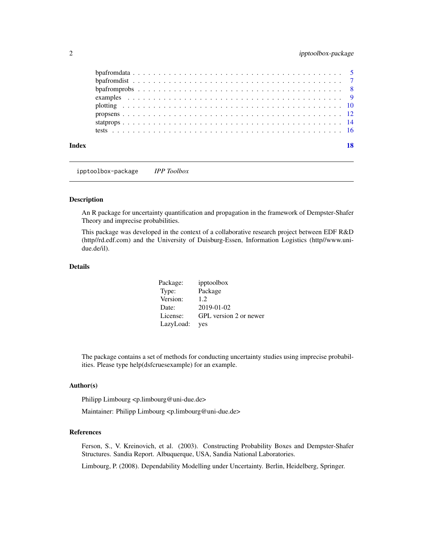<span id="page-1-0"></span>

| Index |  |  |  |  |  |  |  |  |  |  |  |  |  |  |  |  |  |  |  |  | 18 |
|-------|--|--|--|--|--|--|--|--|--|--|--|--|--|--|--|--|--|--|--|--|----|

ipptoolbox-package *IPP Toolbox*

# Description

An R package for uncertainty quantification and propagation in the framework of Dempster-Shafer Theory and imprecise probabilities.

This package was developed in the context of a collaborative research project between EDF R&D (http//rd.edf.com) and the University of Duisburg-Essen, Information Logistics (http//www.unidue.de/il).

# Details

| Package:  | ipptoolbox             |
|-----------|------------------------|
| Type:     | Package                |
| Version:  | 1.2.                   |
| Date:     | 2019-01-02             |
| License:  | GPL version 2 or newer |
| LazyLoad: | yes                    |

The package contains a set of methods for conducting uncertainty studies using imprecise probabilities. Please type help(dsfcruesexample) for an example.

# Author(s)

Philipp Limbourg <p.limbourg@uni-due.de>

Maintainer: Philipp Limbourg <p.limbourg@uni-due.de>

# References

Ferson, S., V. Kreinovich, et al. (2003). Constructing Probability Boxes and Dempster-Shafer Structures. Sandia Report. Albuquerque, USA, Sandia National Laboratories.

Limbourg, P. (2008). Dependability Modelling under Uncertainty. Berlin, Heidelberg, Springer.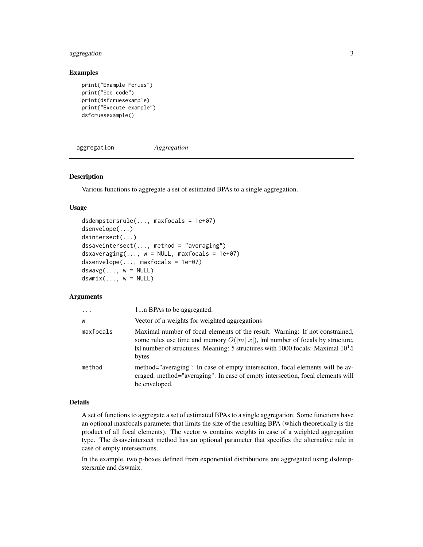# <span id="page-2-0"></span>aggregation 3

# Examples

```
print("Example Fcrues")
print("See code")
print(dsfcruesexample)
print("Execute example")
dsfcruesexample()
```
aggregation *Aggregation*

# Description

Various functions to aggregate a set of estimated BPAs to a single aggregation.

# Usage

```
dsdempstersrule(..., maxfocals = 1e+07)
dsenvelope(...)
dsintersect(...)
dssaveintersect(..., method = "averaging")
dsxaveraging(..., w = NULL, maxfocals = 1e+07)dsxenvelope(..., maxfocals = 1e+07)
dswavg(..., w = NULL)dsumix(..., w = NULL)
```
# Arguments

| 1n BPAs to be aggregated.                                                                                                                                                                                                                                    |
|--------------------------------------------------------------------------------------------------------------------------------------------------------------------------------------------------------------------------------------------------------------|
| Vector of n weights for weighted aggregations                                                                                                                                                                                                                |
| Maximal number of focal elements of the result. Warning: If not constrained,<br>some rules use time and memory $O( m  x )$ , lml number of focals by structure,<br> x  number of structures. Meaning: 5 structures with 1000 focals: Maximal $1015$<br>bytes |
| method="averaging": In case of empty intersection, focal elements will be av-<br>eraged. method="averaging": In case of empty intersection, focal elements will<br>be enveloped.                                                                             |
|                                                                                                                                                                                                                                                              |

# Details

A set of functions to aggregate a set of estimated BPAs to a single aggregation. Some functions have an optional maxfocals parameter that limits the size of the resulting BPA (which theoretically is the product of all focal elements). The vector w contains weights in case of a weighted aggregation type. The dssaveintersect method has an optional parameter that specifies the alternative rule in case of empty intersections.

In the example, two p-boxes defined from exponential distributions are aggregated using dsdempstersrule and dswmix.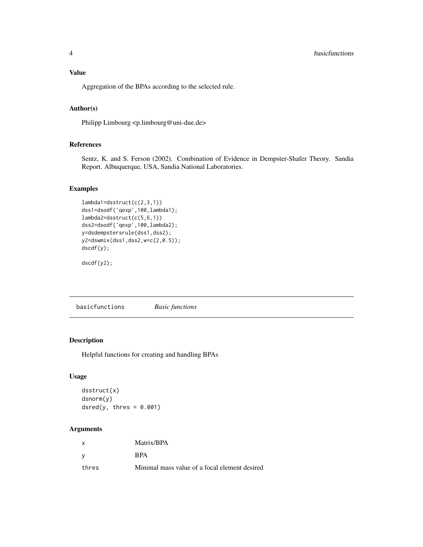# <span id="page-3-0"></span>Value

Aggregation of the BPAs according to the selected rule.

# Author(s)

Philipp Limbourg <p.limbourg@uni-due.de>

# References

Sentz, K. and S. Ferson (2002). Combination of Evidence in Dempster-Shafer Theory. Sandia Report. Albuquerque, USA, Sandia National Laboratories.

# Examples

```
lambda1=dsstruct(c(2,3,1))
dss1=dsodf('qexp',100,lambda1);
lambda2=dsstruct(c(5,6,1))
dss2=dsodf('qexp',100,lambda2);
y=dsdempstersrule(dss1,dss2);
y2=dswmix(dss1,dss2,w=c(2,0.5));
dscdf(y);
```
dscdf(y2);

basicfunctions *Basic functions*

# Description

Helpful functions for creating and handling BPAs

# Usage

```
dsstruct(x)
dsnorm(y)
dsred(y, thres = 0.001)
```

| X     | Matrix/BPA                                    |
|-------|-----------------------------------------------|
|       | <b>RPA</b>                                    |
| thres | Minimal mass value of a focal element desired |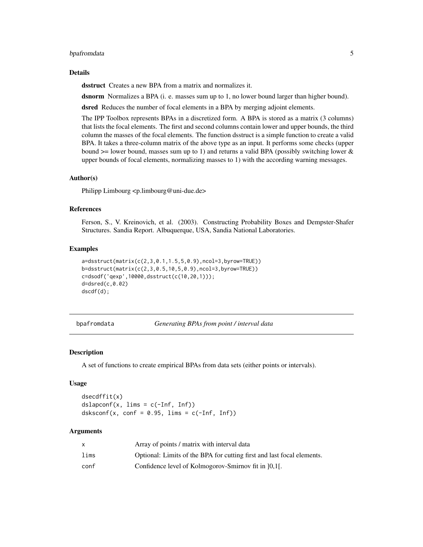# <span id="page-4-0"></span>bpafromdata 5

#### Details

dsstruct Creates a new BPA from a matrix and normalizes it.

dsnorm Normalizes a BPA (i. e. masses sum up to 1, no lower bound larger than higher bound).

dsred Reduces the number of focal elements in a BPA by merging adjoint elements.

The IPP Toolbox represents BPAs in a discretized form. A BPA is stored as a matrix (3 columns) that lists the focal elements. The first and second columns contain lower and upper bounds, the third column the masses of the focal elements. The function dsstruct is a simple function to create a valid BPA. It takes a three-column matrix of the above type as an input. It performs some checks (upper bound  $\ge$ = lower bound, masses sum up to 1) and returns a valid BPA (possibly switching lower  $\&$ upper bounds of focal elements, normalizing masses to 1) with the according warning messages.

# Author(s)

Philipp Limbourg <p.limbourg@uni-due.de>

# References

Ferson, S., V. Kreinovich, et al. (2003). Constructing Probability Boxes and Dempster-Shafer Structures. Sandia Report. Albuquerque, USA, Sandia National Laboratories.

#### Examples

```
a=dsstruct(matrix(c(2,3,0.1,1.5,5,0.9),ncol=3,byrow=TRUE))
b=dsstruct(matrix(c(2,3,0.5,10,5,0.9),ncol=3,byrow=TRUE))
c=dsodf('qexp',10000,dsstruct(c(10,20,1)));
d=dsred(c,0.02)
dscdf(d);
```
bpafromdata *Generating BPAs from point / interval data*

# **Description**

A set of functions to create empirical BPAs from data sets (either points or intervals).

### Usage

dsecdffit(x)  $dslapconf(x, \text{ } \text{lims = c(-Inf, } \text{Inf}))$ dsksconf(x, conf =  $0.95$ , lims =  $c(-Inf, Inf)$ )

|      | Array of points / matrix with interval data                            |
|------|------------------------------------------------------------------------|
| lims | Optional: Limits of the BPA for cutting first and last focal elements. |
| conf | Confidence level of Kolmogorov-Smirnov fit in [0,1].                   |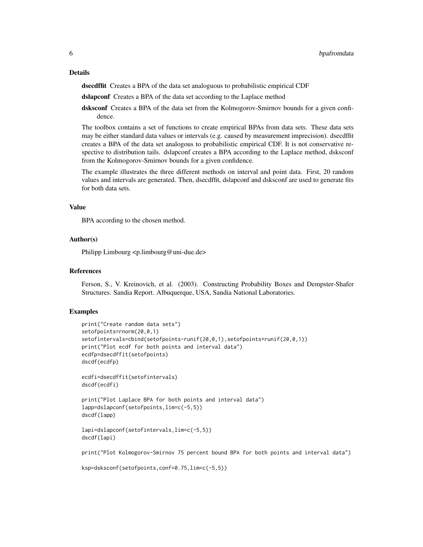dsecdffit Creates a BPA of the data set analoguous to probabilistic empirical CDF

dslapconf Creates a BPA of the data set according to the Laplace method

dsksconf Creates a BPA of the data set from the Kolmogorov-Smirnov bounds for a given confidence.

The toolbox contains a set of functions to create empirical BPAs from data sets. These data sets may be either standard data values or intervals (e.g. caused by measurement imprecision). dsecdffit creates a BPA of the data set analogous to probabilistic empirical CDF. It is not conservative respective to distribution tails. dslapconf creates a BPA according to the Laplace method, dsksconf from the Kolmogorov-Smirnov bounds for a given confidence.

The example illustrates the three different methods on interval and point data. First, 20 random values and intervals are generated. Then, dsecdffit, dslapconf and dsksconf are used to generate fits for both data sets.

# Value

BPA according to the chosen method.

# Author(s)

Philipp Limbourg <p.limbourg@uni-due.de>

#### References

Ferson, S., V. Kreinovich, et al. (2003). Constructing Probability Boxes and Dempster-Shafer Structures. Sandia Report. Albuquerque, USA, Sandia National Laboratories.

# Examples

```
print("Create random data sets")
setofpoints=rnorm(20,0,1)
setofintervals=cbind(setofpoints-runif(20,0,1),setofpoints+runif(20,0,1))
print("Plot ecdf for both points and interval data")
ecdfp=dsecdffit(setofpoints)
dscdf(ecdfp)
ecdfi=dsecdffit(setofintervals)
dscdf(ecdfi)
print("Plot Laplace BPA for both points and interval data")
lapp=dslapconf(setofpoints,lim=c(-5,5))
dscdf(lapp)
lapi=dslapconf(setofintervals,lim=c(-5,5))
dscdf(lapi)
print("Plot Kolmogorov-Smirnov 75 percent bound BPA for both points and interval data")
```
ksp=dsksconf(setofpoints,conf=0.75,lim=c(-5,5))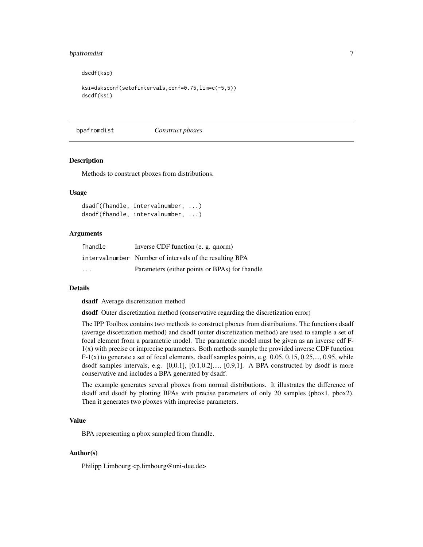# <span id="page-6-0"></span>bpafromdist 7

dscdf(ksp)

```
ksi=dsksconf(setofintervals,conf=0.75,lim=c(-5,5))
dscdf(ksi)
```
bpafromdist *Construct pboxes*

#### **Description**

Methods to construct pboxes from distributions.

# Usage

dsadf(fhandle, intervalnumber, ...) dsodf(fhandle, intervalnumber, ...)

# Arguments

| fhandle                 | Inverse CDF function (e. g. qnorm)                      |
|-------------------------|---------------------------------------------------------|
|                         | intervalnumber Number of intervals of the resulting BPA |
| $\cdot$ $\cdot$ $\cdot$ | Parameters (either points or BPAs) for fhandle          |

# Details

dsadf Average discretization method

dsodf Outer discretization method (conservative regarding the discretization error)

The IPP Toolbox contains two methods to construct pboxes from distributions. The functions dsadf (average discetization method) and dsodf (outer discretization method) are used to sample a set of focal element from a parametric model. The parametric model must be given as an inverse cdf F-1(x) with precise or imprecise parameters. Both methods sample the provided inverse CDF function  $F-1(x)$  to generate a set of focal elements. dsadf samples points, e.g. 0.05, 0.15, 0.25,..., 0.95, while dsodf samples intervals, e.g. [0,0.1], [0.1,0.2],..., [0.9,1]. A BPA constructed by dsodf is more conservative and includes a BPA generated by dsadf.

The example generates several pboxes from normal distributions. It illustrates the difference of dsadf and dsodf by plotting BPAs with precise parameters of only 20 samples (pbox1, pbox2). Then it generates two pboxes with imprecise parameters.

# Value

BPA representing a pbox sampled from fhandle.

# Author(s)

Philipp Limbourg <p.limbourg@uni-due.de>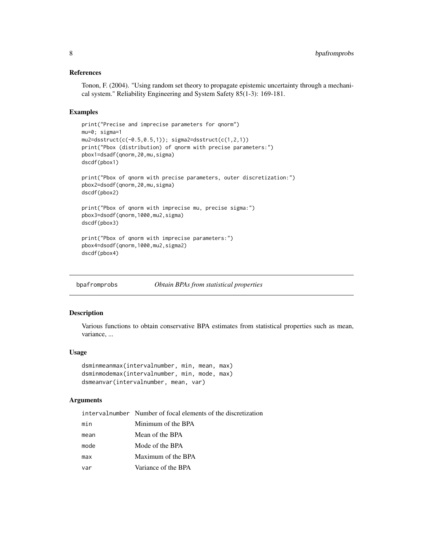# <span id="page-7-0"></span>References

Tonon, F. (2004). "Using random set theory to propagate epistemic uncertainty through a mechanical system." Reliability Engineering and System Safety 85(1-3): 169-181.

# Examples

```
print("Precise and imprecise parameters for qnorm")
mu=0; sigma=1
mu2 = dsstruct(c(-0.5,0.5,1)); sigma2=dsstruct(c(1,2,1))
print("Pbox (distribution) of qnorm with precise parameters:")
pbox1=dsadf(qnorm,20,mu,sigma)
dscdf(pbox1)
print("Pbox of qnorm with precise parameters, outer discretization:")
pbox2=dsodf(qnorm,20,mu,sigma)
dscdf(pbox2)
print("Pbox of qnorm with imprecise mu, precise sigma:")
pbox3=dsodf(qnorm,1000,mu2,sigma)
dscdf(pbox3)
print("Pbox of qnorm with imprecise parameters:")
pbox4=dsodf(qnorm,1000,mu2,sigma2)
dscdf(pbox4)
```
bpafromprobs *Obtain BPAs from statistical properties*

#### **Description**

Various functions to obtain conservative BPA estimates from statistical properties such as mean, variance, ...

# Usage

```
dsminmeanmax(intervalnumber, min, mean, max)
dsminmodemax(intervalnumber, min, mode, max)
dsmeanvar(intervalnumber, mean, var)
```

|      | intervalnumber Number of focal elements of the discretization |
|------|---------------------------------------------------------------|
| min  | Minimum of the BPA                                            |
| mean | Mean of the BPA                                               |
| mode | Mode of the BPA                                               |
| max  | Maximum of the BPA                                            |
| var  | Variance of the BPA                                           |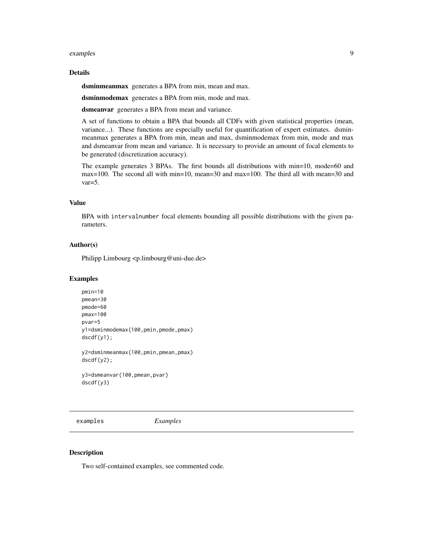#### <span id="page-8-0"></span>examples 9

# Details

dsminmeanmax generates a BPA from min, mean and max.

dsminmodemax generates a BPA from min, mode and max.

dsmeanvar generates a BPA from mean and variance.

A set of functions to obtain a BPA that bounds all CDFs with given statistical properties (mean, variance...). These functions are especially useful for quantification of expert estimates. dsminmeanmax generates a BPA from min, mean and max, dsminmodemax from min, mode and max and dsmeanvar from mean and variance. It is necessary to provide an amount of focal elements to be generated (discretization accuracy).

The example generates 3 BPAs. The first bounds all distributions with min=10, mode=60 and max=100. The second all with min=10, mean=30 and max=100. The third all with mean=30 and var=5.

# Value

BPA with intervalnumber focal elements bounding all possible distributions with the given parameters.

# Author(s)

Philipp Limbourg <p.limbourg@uni-due.de>

#### Examples

```
pmin=10
pmean=30
pmode=60
pmax=100
pvar=5
y1=dsminmodemax(100,pmin,pmode,pmax)
dscdf(y1);
y2=dsminmeanmax(100,pmin,pmean,pmax)
dscdf(y2);
y3=dsmeanvar(100,pmean,pvar)
```
dscdf(y3)

examples *Examples*

# Description

Two self-contained examples, see commented code.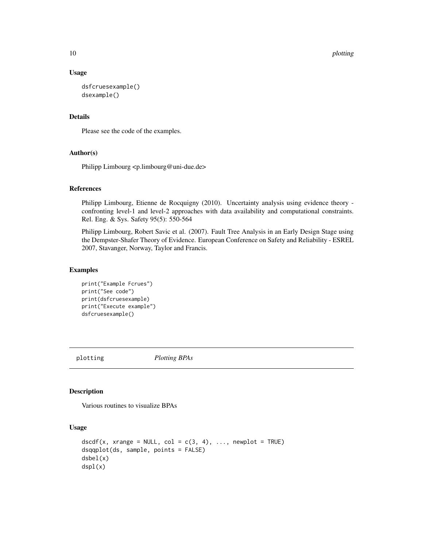10 plotting provide the contract of the plotting point of the plotting plotting point of the plotting point of the plotting point of the plotting point of the plotting point of the plotting point of the plotting point of t

# Usage

```
dsfcruesexample()
dsexample()
```
# Details

Please see the code of the examples.

# Author(s)

Philipp Limbourg <p.limbourg@uni-due.de>

# References

Philipp Limbourg, Etienne de Rocquigny (2010). Uncertainty analysis using evidence theory confronting level-1 and level-2 approaches with data availability and computational constraints. Rel. Eng. & Sys. Safety 95(5): 550-564

Philipp Limbourg, Robert Savic et al. (2007). Fault Tree Analysis in an Early Design Stage using the Dempster-Shafer Theory of Evidence. European Conference on Safety and Reliability - ESREL 2007, Stavanger, Norway, Taylor and Francis.

# Examples

```
print("Example Fcrues")
print("See code")
print(dsfcruesexample)
print("Execute example")
dsfcruesexample()
```
plotting *Plotting BPAs*

# Description

Various routines to visualize BPAs

# Usage

```
dscdf(x, xrange = NULL, col = c(3, 4), ..., newplot = TRUE)dsqqplot(ds, sample, points = FALSE)
dsbel(x)
dspl(x)
```
<span id="page-9-0"></span>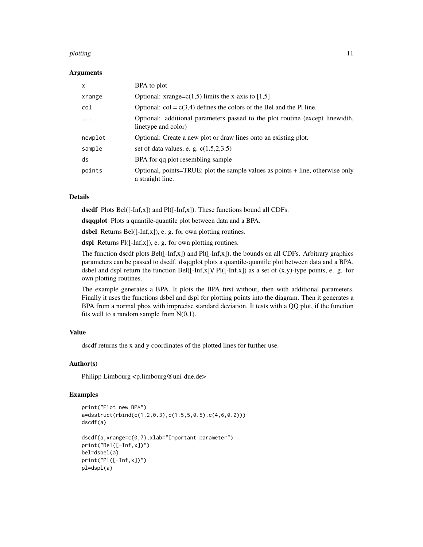#### plotting the state of the state of the state of the state of the state of the state of the state of the state of the state of the state of the state of the state of the state of the state of the state of the state of the s

#### Arguments

| X        | BPA to plot                                                                                          |
|----------|------------------------------------------------------------------------------------------------------|
| xrange   | Optional: xrange= $c(1,5)$ limits the x-axis to [1,5]                                                |
| col      | Optional: $col = c(3,4)$ defines the colors of the Bel and the Pl line.                              |
| $\cdots$ | Optional: additional parameters passed to the plot routine (except linewidth,<br>linetype and color) |
| newplot  | Optional: Create a new plot or draw lines onto an existing plot.                                     |
| sample   | set of data values, e. g. $c(1.5,2,3.5)$                                                             |
| ds       | BPA for qq plot resembling sample                                                                    |
| points   | Optional, points=TRUE: plot the sample values as points + line, otherwise only<br>a straight line.   |

# Details

dscdf Plots Bel( $[-Inf,x]$ ) and Pl( $[-Inf,x]$ ). These functions bound all CDFs.

dsqqplot Plots a quantile-quantile plot between data and a BPA.

dsbel Returns Bel([-Inf,x]), e. g. for own plotting routines.

dspl Returns Pl([-Inf,x]), e. g. for own plotting routines.

The function dscdf plots Bel([-Inf,x]) and Pl([-Inf,x]), the bounds on all CDFs. Arbitrary graphics parameters can be passed to dscdf. dsqqplot plots a quantile-quantile plot between data and a BPA. dsbel and dspl return the function Bel( $[-Inf,x]$ )/ Pl( $[-Inf,x]$ ) as a set of  $(x,y)$ -type points, e. g. for own plotting routines.

The example generates a BPA. It plots the BPA first without, then with additional parameters. Finally it uses the functions dsbel and dspl for plotting points into the diagram. Then it generates a BPA from a normal pbox with imprecise standard deviation. It tests with a QQ plot, if the function fits well to a random sample from  $N(0,1)$ .

# Value

dscdf returns the x and y coordinates of the plotted lines for further use.

# Author(s)

Philipp Limbourg <p.limbourg@uni-due.de>

#### Examples

```
print("Plot new BPA")
a=dsstruct(rbind(c(1,2,0.3),c(1.5,5,0.5),c(4,6,0.2)))
dscdf(a)
dscdf(a,xrange=c(0,7),xlab="Important parameter")
print("Bel([-Inf,x])")
bel=dsbel(a)
print("Pl([-Inf,x])")
pl=dspl(a)
```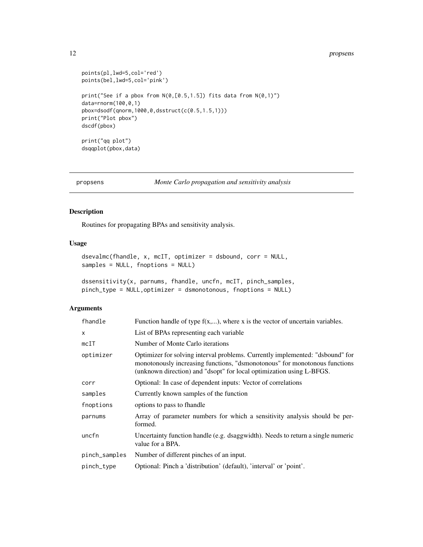#### <span id="page-11-0"></span>12 propsens

```
points(pl,lwd=5,col='red')
points(bel,lwd=5,col='pink')
print("See if a pbox from N(0, [0.5, 1.5]) fits data from N(0, 1)")
data=rnorm(100,0,1)
pbox=dsodf(qnorm,1000,0,dsstruct(c(0.5,1.5,1)))
print("Plot pbox")
dscdf(pbox)
print("qq plot")
dsqqplot(pbox,data)
```
propsens *Monte Carlo propagation and sensitivity analysis*

# Description

Routines for propagating BPAs and sensitivity analysis.

# Usage

```
dsevalmc(fhandle, x, mcIT, optimizer = dsbound, corr = NULL,
samples = NULL, fnoptions = NULL)
```

```
dssensitivity(x, parnums, fhandle, uncfn, mcIT, pinch_samples,
pinch_type = NULL,optimizer = dsmonotonous, fnoptions = NULL)
```

| fhandle       | Function handle of type $f(x,)$ , where x is the vector of uncertain variables.                                                                                                                                                     |
|---------------|-------------------------------------------------------------------------------------------------------------------------------------------------------------------------------------------------------------------------------------|
| X             | List of BPAs representing each variable                                                                                                                                                                                             |
| mcIT          | Number of Monte Carlo iterations                                                                                                                                                                                                    |
| optimizer     | Optimizer for solving interval problems. Currently implemented: "dsbound" for<br>monotonously increasing functions, "dsmonotonous" for monotonous functions<br>(unknown direction) and "dsopt" for local optimization using L-BFGS. |
| corr          | Optional: In case of dependent inputs: Vector of correlations                                                                                                                                                                       |
| samples       | Currently known samples of the function                                                                                                                                                                                             |
| fnoptions     | options to pass to fhandle                                                                                                                                                                                                          |
| parnums       | Array of parameter numbers for which a sensitivity analysis should be per-<br>formed.                                                                                                                                               |
| uncfn         | Uncertainty function handle (e.g. dsaggwidth). Needs to return a single numeric<br>value for a BPA.                                                                                                                                 |
| pinch_samples | Number of different pinches of an input.                                                                                                                                                                                            |
| pinch_type    | Optional: Pinch a 'distribution' (default), 'interval' or 'point'.                                                                                                                                                                  |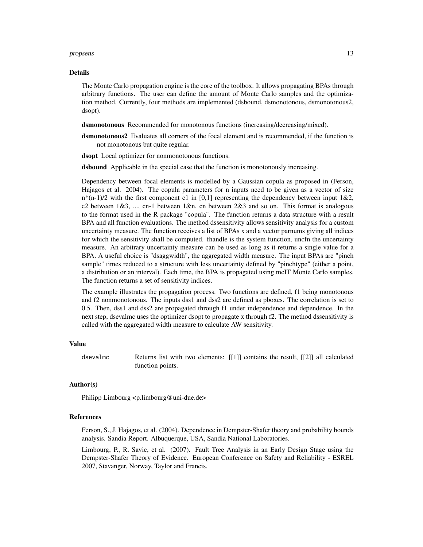#### propsens and the contract of the contract of the contract of the contract of the contract of the contract of the contract of the contract of the contract of the contract of the contract of the contract of the contract of t

#### Details

The Monte Carlo propagation engine is the core of the toolbox. It allows propagating BPAs through arbitrary functions. The user can define the amount of Monte Carlo samples and the optimization method. Currently, four methods are implemented (dsbound, dsmonotonous, dsmonotonous2, dsopt).

dsmonotonous Recommended for monotonous functions (increasing/decreasing/mixed).

dsmonotonous2 Evaluates all corners of the focal element and is recommended, if the function is not monotonous but quite regular.

dsopt Local optimizer for nonmonotonous functions.

dsbound Applicable in the special case that the function is monotonously increasing.

Dependency between focal elements is modelled by a Gaussian copula as proposed in (Ferson, Hajagos et al. 2004). The copula parameters for n inputs need to be given as a vector of size  $n*(n-1)/2$  with the first component c1 in [0,1] representing the dependency between input 1&2, c2 between  $1\&3$ , ..., cn-1 between  $1\&3$ n, cn between  $2\&3$  and so on. This format is analogous to the format used in the R package "copula". The function returns a data structure with a result BPA and all function evaluations. The method dssensitivity allows sensitivity analysis for a custom uncertainty measure. The function receives a list of BPAs x and a vector parnums giving all indices for which the sensitivity shall be computed. fhandle is the system function, uncfn the uncertainty measure. An arbitrary uncertainty measure can be used as long as it returns a single value for a BPA. A useful choice is "dsaggwidth", the aggregated width measure. The input BPAs are "pinch sample" times reduced to a structure with less uncertainty defined by "pinchtype" (either a point, a distribution or an interval). Each time, the BPA is propagated using mcIT Monte Carlo samples. The function returns a set of sensitivity indices.

The example illustrates the propagation process. Two functions are defined, f1 being monotonous and f2 nonmonotonous. The inputs dss1 and dss2 are defined as pboxes. The correlation is set to 0.5. Then, dss1 and dss2 are propagated through f1 under independence and dependence. In the next step, dsevalmc uses the optimizer dsopt to propagate x through f2. The method dssensitivity is called with the aggregated width measure to calculate AW sensitivity.

# Value

dsevalmc Returns list with two elements: [[1]] contains the result, [[2]] all calculated function points.

# Author(s)

Philipp Limbourg <p.limbourg@uni-due.de>

#### References

Ferson, S., J. Hajagos, et al. (2004). Dependence in Dempster-Shafer theory and probability bounds analysis. Sandia Report. Albuquerque, USA, Sandia National Laboratories.

Limbourg, P., R. Savic, et al. (2007). Fault Tree Analysis in an Early Design Stage using the Dempster-Shafer Theory of Evidence. European Conference on Safety and Reliability - ESREL 2007, Stavanger, Norway, Taylor and Francis.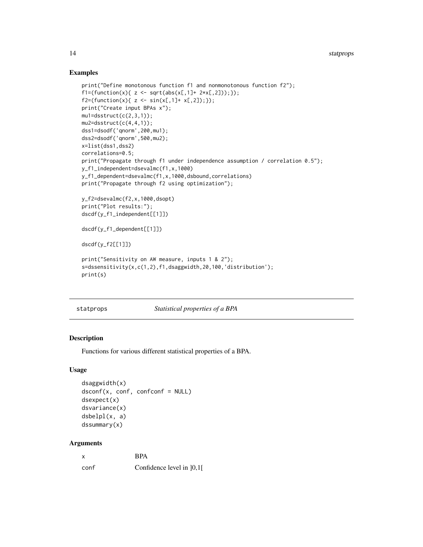# Examples

```
print("Define monotonous function f1 and nonmonotonous function f2");
f1=(function(x) { z \leftarrow sqrt(abs(x[,1]+ 2*x[,2]));});
f2=(function(x){ z \leftarrow sin(x[,1]+ x[,2]), }print("Create input BPAs x");
mu1 = dsstruct(c(2,3,1));mu2 = dsstruct(c(4, 4, 1));dss1=dsodf('qnorm',200,mu1);
dss2=dsodf('qnorm',500,mu2);
x=list(dss1,dss2)
correlations=0.5;
print("Propagate through f1 under independence assumption / correlation 0.5");
y_f1_independent=dsevalmc(f1,x,1000)
y_f1_dependent=dsevalmc(f1,x,1000,dsbound,correlations)
print("Propagate through f2 using optimization");
y_f2=dsevalmc(f2,x,1000,dsopt)
print("Plot results:");
dscdf(y_f1_independent[[1]])
dscdf(y_f1_dependent[[1]])
dscdf(y_f2[[1]])
print("Sensitivity on AW measure, inputs 1 & 2");
s=dssensitivity(x,c(1,2),f1,dsaggwidth,20,100,'distribution');
print(s)
```
statprops *Statistical properties of a BPA*

# Description

Functions for various different statistical properties of a BPA.

#### Usage

```
dsaggwidth(x)
dsconf(x, conf, confconf = NULL)
dsexpect(x)
dsvariance(x)
dsbelpl(x, a)
dssummary(x)
```

| x    | <b>BPA</b>                |
|------|---------------------------|
| conf | Confidence level in [0,1] |

<span id="page-13-0"></span>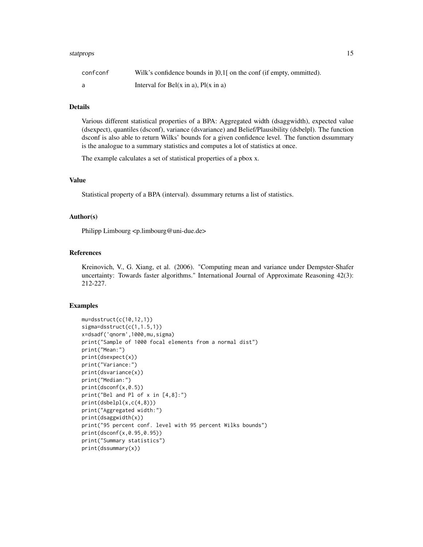#### statprops and the state of the state of the state of the state of the state of the state of the state of the state of the state of the state of the state of the state of the state of the state of the state of the state of

| confconf | Wilk's confidence bounds in $[0,1]$ on the conf (if empty, ommitted). |
|----------|-----------------------------------------------------------------------|
|          | Interval for Bel(x in a), $Pl(x \text{ in a})$                        |

# Details

Various different statistical properties of a BPA: Aggregated width (dsaggwidth), expected value (dsexpect), quantiles (dsconf), variance (dsvariance) and Belief/Plausibility (dsbelpl). The function dsconf is also able to return Wilks' bounds for a given confidence level. The function dssummary is the analogue to a summary statistics and computes a lot of statistics at once.

The example calculates a set of statistical properties of a pbox x.

# Value

Statistical property of a BPA (interval). dssummary returns a list of statistics.

# Author(s)

Philipp Limbourg <p.limbourg@uni-due.de>

# References

Kreinovich, V., G. Xiang, et al. (2006). "Computing mean and variance under Dempster-Shafer uncertainty: Towards faster algorithms." International Journal of Approximate Reasoning 42(3): 212-227.

#### Examples

```
mu=dsstruct(c(10,12,1))
sigma=dsstruct(c(1,1.5,1))
x=dsadf('qnorm',1000,mu,sigma)
print("Sample of 1000 focal elements from a normal dist")
print("Mean:")
print(dsexpect(x))
print("Variance:")
print(dsvariance(x))
print("Median:")
print(dsconf(x,0.5))
print("Bel and Pl of x in [4,8]:")
print(dsbelpl(x,c(4,8)))
print("Aggregated width:")
print(dsaggwidth(x))
print("95 percent conf. level with 95 percent Wilks bounds")
print(dsconf(x,0.95,0.95))
print("Summary statistics")
print(dssummary(x))
```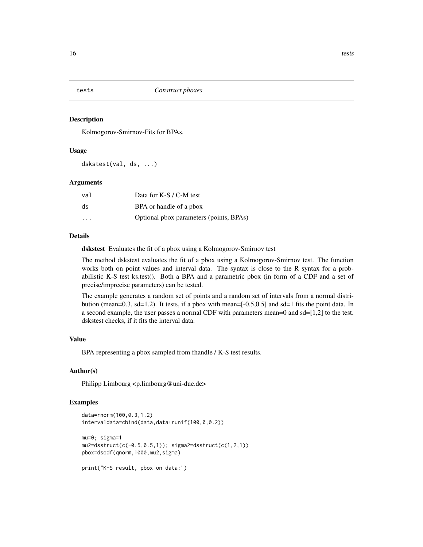<span id="page-15-0"></span>

#### Description

Kolmogorov-Smirnov-Fits for BPAs.

#### Usage

dskstest(val, ds, ...)

#### Arguments

| val                     | Data for K-S / C-M test                 |
|-------------------------|-----------------------------------------|
| ds                      | BPA or handle of a pbox                 |
| $\cdot$ $\cdot$ $\cdot$ | Optional pbox parameters (points, BPAs) |

# Details

dskstest Evaluates the fit of a pbox using a Kolmogorov-Smirnov test

The method dskstest evaluates the fit of a pbox using a Kolmogorov-Smirnov test. The function works both on point values and interval data. The syntax is close to the R syntax for a probabilistic K-S test ks.test(). Both a BPA and a parametric pbox (in form of a CDF and a set of precise/imprecise parameters) can be tested.

The example generates a random set of points and a random set of intervals from a normal distribution (mean=0.3, sd=1.2). It tests, if a pbox with mean=[-0.5,0.5] and sd=1 fits the point data. In a second example, the user passes a normal CDF with parameters mean=0 and sd=[1,2] to the test. dskstest checks, if it fits the interval data.

#### Value

BPA representing a pbox sampled from fhandle / K-S test results.

# Author(s)

Philipp Limbourg <p.limbourg@uni-due.de>

# Examples

```
data=rnorm(100,0.3,1.2)
intervaldata=cbind(data,data+runif(100,0,0.2))
mu=0; sigma=1
mu2 = dsstruct(c(-0.5,0.5,1)); sigma2=dsstruct(c(1,2,1))
pbox=dsodf(qnorm,1000,mu2,sigma)
print("K-S result, pbox on data:")
```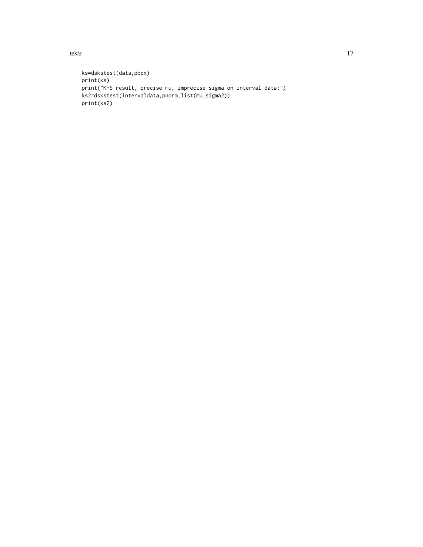tests and the state of the state of the state of the state of the state of the state of the state of the state of the state of the state of the state of the state of the state of the state of the state of the state of the

```
ks=dskstest(data,pbox)
print(ks)
print("K-S result, precise mu, imprecise sigma on interval data:")
ks2=dskstest(intervaldata,pnorm,list(mu,sigma2))
print(ks2)
```